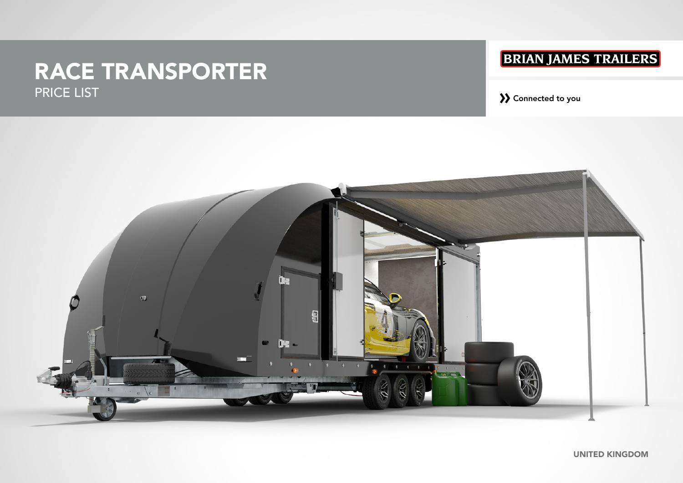# RACE TRANSPORTER PRICE LIST » Connected to you

# **BRIAN JAMES TRAILERS**

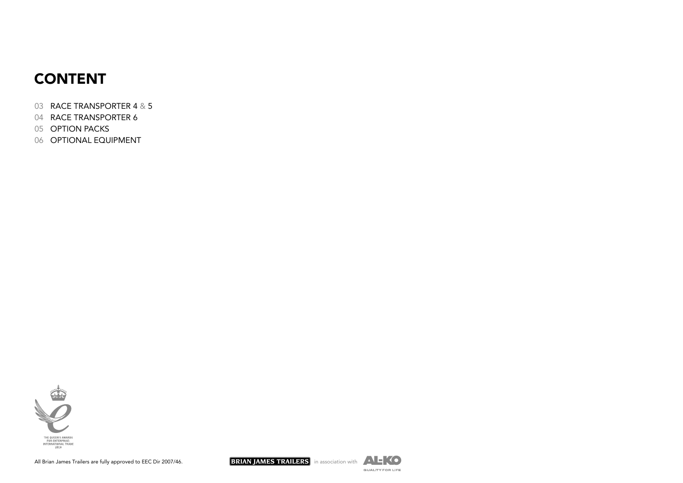# CONTENT

- RACE TRANSPORTER 4 & 5
- RACE TRANSPORTER 6
- OPTION PACKS
- OPTIONAL EQUIPMENT





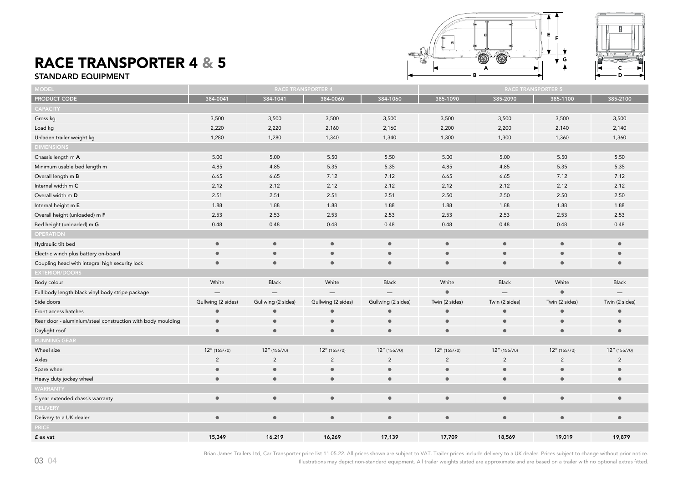#### RACE TRANSPORTER 4 & 5 STANDARD EQUIPMENT





| <b>MODEL</b>                                                |                    | <b>RACE TRANSPORTER</b> |                    |                    |                | <b>RACE TRANSPORTER 5</b> |                |                |
|-------------------------------------------------------------|--------------------|-------------------------|--------------------|--------------------|----------------|---------------------------|----------------|----------------|
| PRODUCT CODE                                                | 384-0041           | 384-1041                | 384-0060           | 384-1060           | 385-1090       | 385-2090                  | 385-1100       | 385-2100       |
| <b>CAPACITY</b>                                             |                    |                         |                    |                    |                |                           |                |                |
| Gross kg                                                    | 3,500              | 3,500                   | 3,500              | 3,500              | 3,500          | 3,500                     | 3,500          | 3,500          |
| Load kg                                                     | 2,220              | 2,220                   | 2,160              | 2,160              | 2,200          | 2,200                     | 2,140          | 2,140          |
| Unladen trailer weight kg                                   | 1,280              | 1,280                   | 1,340              | 1,340              | 1,300          | 1,300                     | 1,360          | 1,360          |
| <b>DIMENSIONS</b>                                           |                    |                         |                    |                    |                |                           |                |                |
| Chassis length m A                                          | 5.00               | 5.00                    | 5.50               | 5.50               | 5.00           | 5.00                      | 5.50           | 5.50           |
| Minimum usable bed length m                                 | 4.85               | 4.85                    | 5.35               | 5.35               | 4.85           | 4.85                      | 5.35           | 5.35           |
| Overall length m B                                          | 6.65               | 6.65                    | 7.12               | 7.12               | 6.65           | 6.65                      | 7.12           | 7.12           |
| Internal width m C                                          | 2.12               | 2.12                    | 2.12               | 2.12               | 2.12           | 2.12                      | 2.12           | 2.12           |
| Overall width m D                                           | 2.51               | 2.51                    | 2.51               | 2.51               | 2.50           | 2.50                      | 2.50           | 2.50           |
| Internal height m E                                         | 1.88               | 1.88                    | 1.88               | 1.88               | 1.88           | 1.88                      | 1.88           | 1.88           |
| Overall height (unloaded) m F                               | 2.53               | 2.53                    | 2.53               | 2.53               | 2.53           | 2.53                      | 2.53           | 2.53           |
| Bed height (unloaded) m G                                   | 0.48               | 0.48                    | 0.48               | 0.48               | 0.48           | 0.48                      | 0.48           | 0.48           |
| <b>OPERATION</b>                                            |                    |                         |                    |                    |                |                           |                |                |
| Hydraulic tilt bed                                          | $\bullet$          | $\bullet$               | $\bullet$          | $\bullet$          | $\bullet$      | $\bullet$                 | $\bullet$      | $\bullet$      |
| Electric winch plus battery on-board                        | $\bullet$          | $\bullet$               | $\bullet$          | $\bullet$          | $\bullet$      | $\bullet$                 | $\bullet$      | $\bullet$      |
| Coupling head with integral high security lock              | $\bullet$          | $\bullet$               | $\bullet$          | $\bullet$          | $\bullet$      | $\bullet$                 | $\bullet$      | $\bullet$      |
| <b>EXTERIOR/DOORS</b>                                       |                    |                         |                    |                    |                |                           |                |                |
| Body colour                                                 | White              | Black                   | White              | <b>Black</b>       | White          | <b>Black</b>              | White          | <b>Black</b>   |
| Full body length black vinyl body stripe package            |                    |                         |                    |                    | $\bullet$      |                           | $\bullet$      |                |
| Side doors                                                  | Gullwing (2 sides) | Gullwing (2 sides)      | Gullwing (2 sides) | Gullwing (2 sides) | Twin (2 sides) | Twin (2 sides)            | Twin (2 sides) | Twin (2 sides) |
| Front access hatches                                        | $\bullet$          | $\bullet$               | $\bullet$          | $\bullet$          | $\bullet$      | $\bullet$                 | $\bullet$      | e              |
| Rear door - aluminium/steel construction with body moulding | $\bullet$          | $\bullet$               | $\bullet$          | $\bullet$          | $\bullet$      | $\bullet$                 | $\bullet$      | $\bullet$      |
| Daylight roof                                               | $\bullet$          | $\bullet$               | $\bullet$          | $\bullet$          | $\bullet$      | $\bullet$                 | $\bullet$      | $\bullet$      |
| <b>RUNNING GEAR</b>                                         |                    |                         |                    |                    |                |                           |                |                |
| Wheel size                                                  | 12" (155/70)       | 12" (155/70)            | 12" (155/70)       | 12" (155/70)       | 12" (155/70)   | 12" (155/70)              | 12" (155/70)   | 12" (155/70)   |
| Axles                                                       | $\overline{2}$     | $\overline{2}$          | $\overline{2}$     | $\overline{2}$     | $\overline{2}$ | $\overline{2}$            | $\overline{2}$ | $\overline{2}$ |
| Spare wheel                                                 | $\bullet$          | $\bullet$               | $\bullet$          | $\bullet$          | $\bullet$      | $\bullet$                 | $\bullet$      | $\bullet$      |
| Heavy duty jockey wheel                                     | $\bullet$          | $\bullet$               | $\bullet$          | $\bullet$          | $\bullet$      | $\bullet$                 | $\bullet$      | $\bullet$      |
| <b>WARRANTY</b>                                             |                    |                         |                    |                    |                |                           |                |                |
| 5 year extended chassis warranty                            | $\bullet$          | $\bullet$               | $\bullet$          | $\bullet$          | $\bullet$      | $\bullet$                 | $\bullet$      | $\bullet$      |
| <b>DELIVERY</b>                                             |                    |                         |                    |                    |                |                           |                |                |
| Delivery to a UK dealer                                     | $\bullet$          | $\bullet$               | $\bullet$          | $\bullet$          | $\bullet$      | $\bullet$                 | $\bullet$      | $\bullet$      |
| <b>PRICE</b>                                                |                    |                         |                    |                    |                |                           |                |                |
| £ ex vat                                                    | 15,349             | 16,219                  | 16,269             | 17,139             | 17,709         | 18,569                    | 19,019         | 19,879         |

Brian James Trailers Ltd, Car Transporter price list 11.05.22. All prices shown are subject to VAT. Trailer prices include delivery to a UK dealer. Prices subject to change without prior notice.

Illustrations may depict non-standard equipment. All trailer weights stated are approximate and are based on a trailer with no optional extras fitted.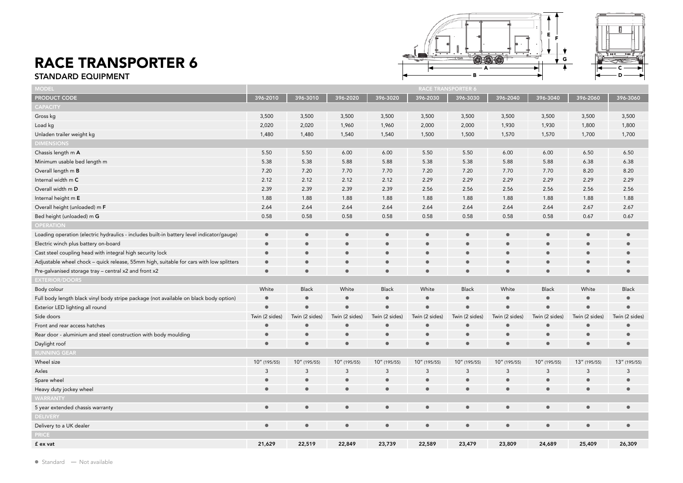#### RACE TRANSPORTER 6 STANDARD EQUIPMENT





| MODEL                                                                                     | <b>RACE TRANSPORTER 6</b> |                |                |                |                |                |                |                |                |                |
|-------------------------------------------------------------------------------------------|---------------------------|----------------|----------------|----------------|----------------|----------------|----------------|----------------|----------------|----------------|
| <b>PRODUCT CODE</b>                                                                       | 396-2010                  | 396-3010       | 396-2020       | 396-3020       | 396-2030       | 396-3030       | 396-2040       | 396-3040       | 396-2060       | 396-3060       |
| <b>CAPACITY</b>                                                                           |                           |                |                |                |                |                |                |                |                |                |
| Gross kg                                                                                  | 3,500                     | 3,500          | 3,500          | 3,500          | 3,500          | 3,500          | 3,500          | 3,500          | 3,500          | 3,500          |
| Load kg                                                                                   | 2,020                     | 2,020          | 1,960          | 1,960          | 2,000          | 2,000          | 1,930          | 1,930          | 1,800          | 1,800          |
| Unladen trailer weight kg                                                                 | 1,480                     | 1,480          | 1,540          | 1,540          | 1,500          | 1,500          | 1,570          | 1,570          | 1,700          | 1,700          |
| <b>DIMENSIONS</b>                                                                         |                           |                |                |                |                |                |                |                |                |                |
| Chassis length m A                                                                        | 5.50                      | 5.50           | 6.00           | 6.00           | 5.50           | 5.50           | 6.00           | 6.00           | 6.50           | 6.50           |
| Minimum usable bed length m                                                               | 5.38                      | 5.38           | 5.88           | 5.88           | 5.38           | 5.38           | 5.88           | 5.88           | 6.38           | 6.38           |
| Overall length m B                                                                        | 7.20                      | 7.20           | 7.70           | 7.70           | 7.20           | 7.20           | 7.70           | 7.70           | 8.20           | 8.20           |
| Internal width m C                                                                        | 2.12                      | 2.12           | 2.12           | 2.12           | 2.29           | 2.29           | 2.29           | 2.29           | 2.29           | 2.29           |
| Overall width m D                                                                         | 2.39                      | 2.39           | 2.39           | 2.39           | 2.56           | 2.56           | 2.56           | 2.56           | 2.56           | 2.56           |
| Internal height m E                                                                       | 1.88                      | 1.88           | 1.88           | 1.88           | 1.88           | 1.88           | 1.88           | 1.88           | 1.88           | 1.88           |
| Overall height (unloaded) m F                                                             | 2.64                      | 2.64           | 2.64           | 2.64           | 2.64           | 2.64           | 2.64           | 2.64           | 2.67           | 2.67           |
| Bed height (unloaded) m G                                                                 | 0.58                      | 0.58           | 0.58           | 0.58           | 0.58           | 0.58           | 0.58           | 0.58           | 0.67           | 0.67           |
| <b>OPERATION</b>                                                                          |                           |                |                |                |                |                |                |                |                |                |
| Loading operation (electric hydraulics - includes built-in battery level indicator/gauge) | $\bullet$                 | $\bullet$      | $\bullet$      | $\bullet$      | $\bullet$      | $\bullet$      | $\bullet$      | $\bullet$      | $\bullet$      | $\bullet$      |
| Electric winch plus battery on-board                                                      | $\bullet$                 | $\bullet$      |                | $\bullet$      | $\bullet$      |                |                | $\bullet$      | $\bullet$      |                |
| Cast steel coupling head with integral high security lock                                 | $\bullet$                 | $\bullet$      |                | $\bullet$      | $\bullet$      |                |                |                | $\epsilon$     |                |
| Adjustable wheel chock - quick release, 55mm high, suitable for cars with low splitters   | $\bullet$                 | $\bullet$      |                | $\bullet$      |                |                |                |                | $\bullet$      |                |
| Pre-galvanised storage tray - central x2 and front x2                                     | $\bullet$                 | $\bullet$      | $\bullet$      | $\bullet$      | $\bullet$      | $\bullet$      | $\epsilon$     | $\bullet$      | $\bullet$      | $\bullet$      |
| <b>EXTERIOR/DOORS</b>                                                                     |                           |                |                |                |                |                |                |                |                |                |
| Body colour                                                                               | White                     | <b>Black</b>   | White          | Black          | White          | <b>Black</b>   | White          | <b>Black</b>   | White          | <b>Black</b>   |
| Full body length black vinyl body stripe package (not available on black body option)     | $\bullet$                 | $\bullet$      | $\bullet$      | $\bullet$      | $\bullet$      |                | $\bullet$      | $\bullet$      | $\bullet$      | $\bullet$      |
| Exterior LED lighting all round                                                           | $\bullet$                 | $\bullet$      | $\bullet$      | $\bullet$      | $\bullet$      |                | $\epsilon$     | $\bullet$      | $\bullet$      | $\bullet$      |
| Side doors                                                                                | Twin (2 sides)            | Twin (2 sides) | Twin (2 sides) | Twin (2 sides) | Twin (2 sides) | Twin (2 sides) | Twin (2 sides) | Twin (2 sides) | Twin (2 sides) | Twin (2 sides) |
| Front and rear access hatches                                                             | $\bullet$                 | $\bullet$      |                | $\bullet$      | $\bullet$      |                | $\blacksquare$ |                |                | $\bullet$      |
| Rear door - aluminium and steel construction with body moulding                           | $\bullet$                 | $\bullet$      | $\bullet$      | $\bullet$      | $\bullet$      | $\bullet$      | $\bullet$      |                | $\epsilon$     | $\bullet$      |
| Daylight roof                                                                             | $\bullet$                 | $\bullet$      | $\bullet$      | $\bullet$      | $\bullet$      | $\bullet$      | $\bullet$      | $\bullet$      | $\bullet$      | $\bullet$      |
| <b>RUNNING GEAR</b>                                                                       |                           |                |                |                |                |                |                |                |                |                |
| Wheel size                                                                                | 10" (195/55)              | 10" (195/55)   | 10" (195/55)   | 10" (195/55)   | 10" (195/55)   | 10" (195/55)   | 10" (195/55)   | 10" (195/55)   | 13" (195/55)   | 13" (195/55)   |
| Axles                                                                                     | 3                         | 3              | 3              | 3              | 3              | 3              | 3              | 3              | 3              | 3              |
| Spare wheel                                                                               |                           | $\bullet$      |                | $\bullet$      |                |                |                | $\epsilon$     | $\epsilon$     | $\bullet$      |
| Heavy duty jockey wheel                                                                   | $\bullet$                 | $\bullet$      | $\bullet$      | $\bullet$      | $\bullet$      | $\bullet$      | $\bullet$      | $\blacksquare$ | $\bullet$      | $\bullet$      |
| <b>WARRANTY</b>                                                                           |                           |                |                |                |                |                |                |                |                |                |
| 5 year extended chassis warranty                                                          | $\bullet$                 | $\bullet$      | $\bullet$      | $\bullet$      | $\bullet$      | $\bullet$      | $\bullet$      | $\bullet$      | $\bullet$      | $\bullet$      |
| <b>DELIVERY</b>                                                                           |                           |                |                |                |                |                |                |                |                |                |
| Delivery to a UK dealer                                                                   | $\bullet$                 | $\bullet$      | $\bullet$      | $\bullet$      | $\bullet$      | $\bullet$      | $\bullet$      | $\bullet$      | $\bullet$      | $\bullet$      |
| <b>PRICE</b>                                                                              |                           |                |                |                |                |                |                |                |                |                |
| £ ex vat                                                                                  | 21,629                    | 22,519         | 22,849         | 23,739         | 22,589         | 23,479         | 23,809         | 24,689         | 25,409         | 26,309         |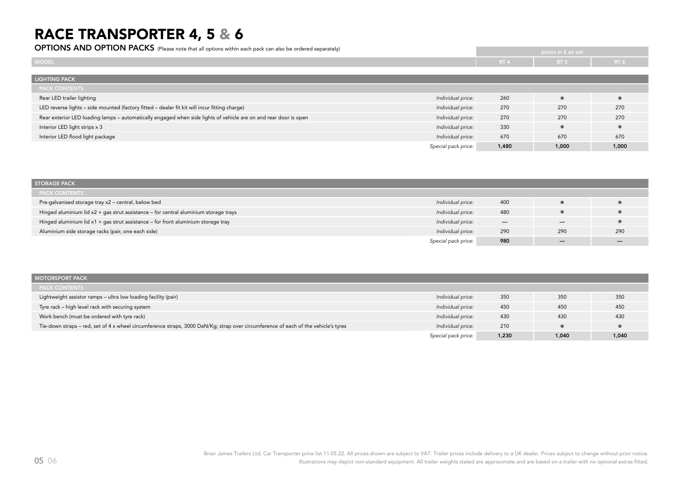## RACE TRANSPORTER 4, 5 & 6

OPTIONS AND OPTION PACKS (Please note that all options within each pack can also be ordered separately)

|                                                                                                                                       |                 | prices in £ ex vat! |           |
|---------------------------------------------------------------------------------------------------------------------------------------|-----------------|---------------------|-----------|
| <b>MODEL</b>                                                                                                                          | RT <sub>4</sub> | RT <sub>5</sub>     | RT 6      |
|                                                                                                                                       |                 |                     |           |
| <b>LIGHTING PACK</b>                                                                                                                  |                 |                     |           |
| <b>PACK CONTENTS</b>                                                                                                                  |                 |                     |           |
| Rear LED trailer lighting<br>Individual price:                                                                                        | 260             |                     | $\bullet$ |
| LED reverse lights - side mounted (factory fitted - dealer fit kit will incur fitting charge)<br>Individual price:                    | 270             | 270                 | 270       |
| Rear exterior LED loading lamps - automatically engaged when side lights of vehicle are on and rear door is open<br>Individual price: | 270             | 270                 | 270       |
| Individual price:<br>Interior LED light strips x 3                                                                                    | 330             | $\bullet$           | $\bullet$ |
| Interior LED flood light package<br>Individual price:                                                                                 | 670             | 670                 | 670       |
| Special pack price:                                                                                                                   | 1,480           | 1,000               | 1,000     |

| <b>STORAGE PACK</b>                                                                  |                     |     |     |     |
|--------------------------------------------------------------------------------------|---------------------|-----|-----|-----|
| <b>PACK CONTENTS</b>                                                                 |                     |     |     |     |
| Pre-galvanised storage tray x2 - central, below bed                                  | Individual price:   | 400 |     |     |
| Hinged aluminium lid x2 + gas strut assistance - for central aluminium storage trays | Individual price:   | 480 |     |     |
| Hinged aluminium lid $x1 + gas$ strut assistance – for front aluminium storage tray  | Individual price:   | –   |     |     |
| Aluminium side storage racks (pair, one each side)                                   | Individual price:   | 290 | 290 | 290 |
|                                                                                      | Special pack price: | 980 |     |     |

| <b>MOTORSPORT PACK</b>                                                                                                             |                     |       |       |       |
|------------------------------------------------------------------------------------------------------------------------------------|---------------------|-------|-------|-------|
| <b>PACK CONTENTS</b>                                                                                                               |                     |       |       |       |
| Lightweight assistor ramps - ultra low loading facility (pair)                                                                     | Individual price:   | 350   | 350   | 350   |
| Tyre rack - high level rack with securing system                                                                                   | Individual price:   | 450   | 450   | 450   |
| Work bench (must be ordered with tyre rack)                                                                                        | Individual price:   | 430   | 430   | 430   |
| Tie-down straps – red, set of 4 x wheel circumference straps, 3000 DaN/Kg; strap over circumference of each of the vehicle's tyres | Individual price:   | 210   |       |       |
|                                                                                                                                    | Special pack price: | 1,230 | 1,040 | 1,040 |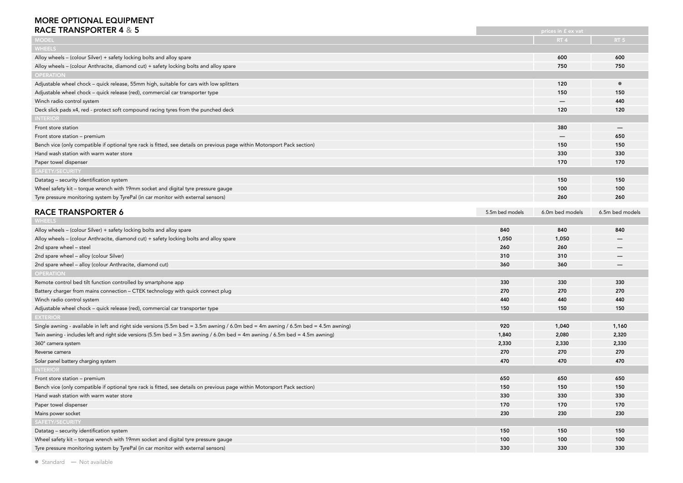#### MORE OPTIONAL EQUIPMENT

| <b>RACE TRANSPORTER 4 &amp; 5</b>                                                                                                  |                 | prices in £ ex vat |                          |
|------------------------------------------------------------------------------------------------------------------------------------|-----------------|--------------------|--------------------------|
| <b>MODEL</b>                                                                                                                       |                 | RT <sub>4</sub>    | RT <sub>5</sub>          |
| <b>WHEELS</b>                                                                                                                      |                 |                    |                          |
| Alloy wheels - (colour Silver) + safety locking bolts and alloy spare                                                              |                 | 600                | 600                      |
| Alloy wheels - (colour Anthracite, diamond cut) + safety locking bolts and alloy spare                                             |                 | 750                | 750                      |
| <b>OPERATION</b>                                                                                                                   |                 |                    |                          |
| Adjustable wheel chock - quick release, 55mm high, suitable for cars with low splitters                                            |                 | 120                | $\bullet$                |
| Adjustable wheel chock - quick release (red), commercial car transporter type                                                      |                 | 150                | 150                      |
| Winch radio control system                                                                                                         |                 |                    | 440                      |
| Deck slick pads x4, red - protect soft compound racing tyres from the punched deck                                                 |                 | 120                | 120                      |
| <b>INTERIOR</b>                                                                                                                    |                 |                    |                          |
| Front store station                                                                                                                |                 | 380                | $\overline{\phantom{m}}$ |
| Front store station - premium                                                                                                      |                 | —                  | 650                      |
| Bench vice (only compatible if optional tyre rack is fitted, see details on previous page within Motorsport Pack section)          |                 | 150                | 150                      |
| Hand wash station with warm water store                                                                                            |                 | 330                | 330                      |
| Paper towel dispenser                                                                                                              |                 | 170                | 170                      |
| SAFETY/SECURITY                                                                                                                    |                 |                    |                          |
| Datatag - security identification system                                                                                           |                 | 150                | 150                      |
| Wheel safety kit - torque wrench with 19mm socket and digital tyre pressure gauge                                                  |                 | 100                | 100                      |
| Tyre pressure monitoring system by TyrePal (in car monitor with external sensors)                                                  |                 | 260                | 260                      |
|                                                                                                                                    |                 |                    |                          |
| <b>RACE TRANSPORTER 6</b>                                                                                                          | 5.5m bed models | 6.0m bed models    | 6.5m bed models          |
| <b>WHEELS</b>                                                                                                                      |                 |                    |                          |
| Alloy wheels - (colour Silver) + safety locking bolts and alloy spare                                                              | 840             | 840                | 840                      |
| Alloy wheels - (colour Anthracite, diamond cut) + safety locking bolts and alloy spare                                             | 1,050           | 1,050              |                          |
| 2nd spare wheel - steel                                                                                                            | 260             | 260                |                          |
| 2nd spare wheel - alloy (colour Silver)                                                                                            | 310             | 310                |                          |
| 2nd spare wheel - alloy (colour Anthracite, diamond cut)                                                                           | 360             | 360                |                          |
| <b>OPERATION</b>                                                                                                                   |                 |                    |                          |
| Remote control bed tilt function controlled by smartphone app                                                                      | 330             | 330                | 330                      |
| Battery charger from mains connection - CTEK technology with quick connect plug                                                    | 270             | 270                | 270                      |
| Winch radio control system                                                                                                         | 440             | 440                | 440                      |
| Adjustable wheel chock - quick release (red), commercial car transporter type                                                      | 150             | 150                | 150                      |
| <b>EXTERIOR</b>                                                                                                                    |                 |                    |                          |
| Single awning - available in left and right side versions (5.5m bed = 3.5m awning / 6.0m bed = 4m awning / 6.5m bed = 4.5m awning) | 920             | 1,040              | 1,160                    |
| Twin awning - includes left and right side versions (5.5m bed = 3.5m awning / 6.0m bed = 4m awning / 6.5m bed = 4.5m awning)       | 1,840           | 2,080              | 2,320                    |
| 360° camera system                                                                                                                 | 2,330           | 2,330              | 2,330                    |
| Reverse camera                                                                                                                     | 270             | 270                | 270                      |
| Solar panel battery charging system                                                                                                | 470             | 470                | 470                      |
| <b>INTERIOR</b>                                                                                                                    |                 |                    |                          |
| Front store station - premium                                                                                                      | 650             | 650                | 650                      |
| Bench vice (only compatible if optional tyre rack is fitted, see details on previous page within Motorsport Pack section)          | 150             | 150                | 150                      |
| Hand wash station with warm water store                                                                                            | 330             | 330                | 330                      |
| Paper towel dispenser                                                                                                              | 170             | 170                | 170                      |
| Mains power socket                                                                                                                 | 230             | 230                | 230                      |
| SAFETY/SECURITY                                                                                                                    |                 |                    |                          |
| Datatag - security identification system                                                                                           | 150             | 150                | 150                      |
| Wheel safety kit - torque wrench with 19mm socket and digital tyre pressure gauge                                                  | 100             | 100                | 100                      |
| Tyre pressure monitoring system by TyrePal (in car monitor with external sensors)                                                  | 330             | 330                | 330                      |